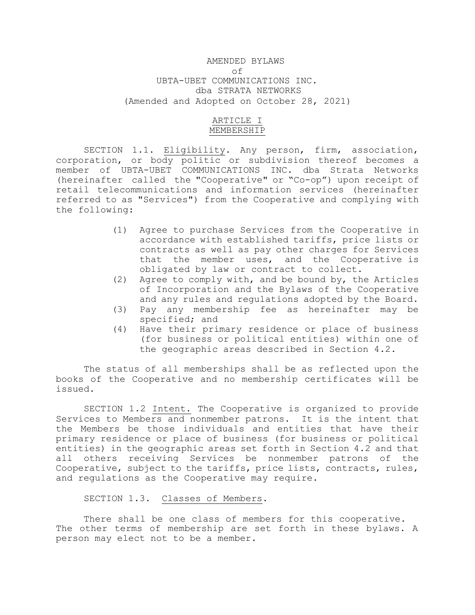# AMENDED BYLAWS of UBTA-UBET COMMUNICATIONS INC. dba STRATA NETWORKS (Amended and Adopted on October 28, 2021)

# ARTICLE I MEMBERSHIP

SECTION 1.1. Eligibility. Any person, firm, association, corporation, or body politic or subdivision thereof becomes a member of UBTA-UBET COMMUNICATIONS INC. dba Strata Networks (hereinafter called the "Cooperative" or "Co-op") upon receipt of retail telecommunications and information services (hereinafter referred to as "Services") from the Cooperative and complying with the following:

- (1) Agree to purchase Services from the Cooperative in accordance with established tariffs, price lists or contracts as well as pay other charges for Services that the member uses, and the Cooperative is obligated by law or contract to collect.
- (2) Agree to comply with, and be bound by, the Articles of Incorporation and the Bylaws of the Cooperative and any rules and regulations adopted by the Board.
- (3) Pay any membership fee as hereinafter may be specified; and
- (4) Have their primary residence or place of business (for business or political entities) within one of the geographic areas described in Section 4.2.

The status of all memberships shall be as reflected upon the books of the Cooperative and no membership certificates will be issued.

SECTION 1.2 Intent. The Cooperative is organized to provide Services to Members and nonmember patrons. It is the intent that the Members be those individuals and entities that have their primary residence or place of business (for business or political entities) in the geographic areas set forth in Section 4.2 and that all others receiving Services be nonmember patrons of the Cooperative, subject to the tariffs, price lists, contracts, rules, and regulations as the Cooperative may require.

SECTION 1.3. Classes of Members.

There shall be one class of members for this cooperative. The other terms of membership are set forth in these bylaws. A person may elect not to be a member.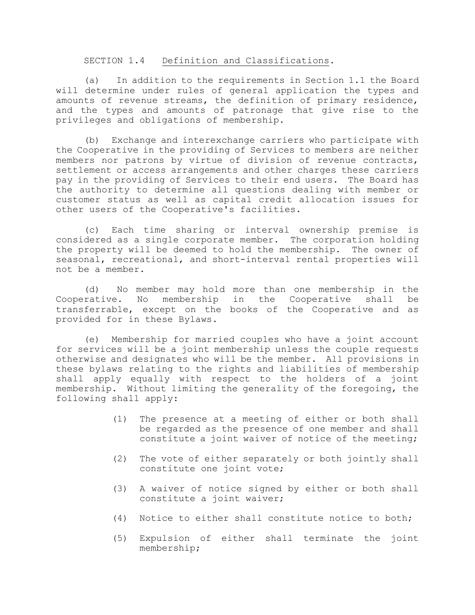### SECTION 1.4 Definition and Classifications.

(a) In addition to the requirements in Section 1.1 the Board will determine under rules of general application the types and amounts of revenue streams, the definition of primary residence, and the types and amounts of patronage that give rise to the privileges and obligations of membership.

(b) Exchange and interexchange carriers who participate with the Cooperative in the providing of Services to members are neither members nor patrons by virtue of division of revenue contracts, settlement or access arrangements and other charges these carriers pay in the providing of Services to their end users. The Board has the authority to determine all questions dealing with member or customer status as well as capital credit allocation issues for other users of the Cooperative's facilities.

(c) Each time sharing or interval ownership premise is considered as a single corporate member. The corporation holding the property will be deemed to hold the membership. The owner of seasonal, recreational, and short-interval rental properties will not be a member.

(d) No member may hold more than one membership in the Cooperative. No membership in the Cooperative shall be transferrable, except on the books of the Cooperative and as provided for in these Bylaws.

(e) Membership for married couples who have a joint account for services will be a joint membership unless the couple requests otherwise and designates who will be the member. All provisions in these bylaws relating to the rights and liabilities of membership shall apply equally with respect to the holders of a joint membership. Without limiting the generality of the foregoing, the following shall apply:

- (1) The presence at a meeting of either or both shall be regarded as the presence of one member and shall constitute a joint waiver of notice of the meeting;
- (2) The vote of either separately or both jointly shall constitute one joint vote;
- (3) A waiver of notice signed by either or both shall constitute a joint waiver;
- (4) Notice to either shall constitute notice to both;
- (5) Expulsion of either shall terminate the joint membership;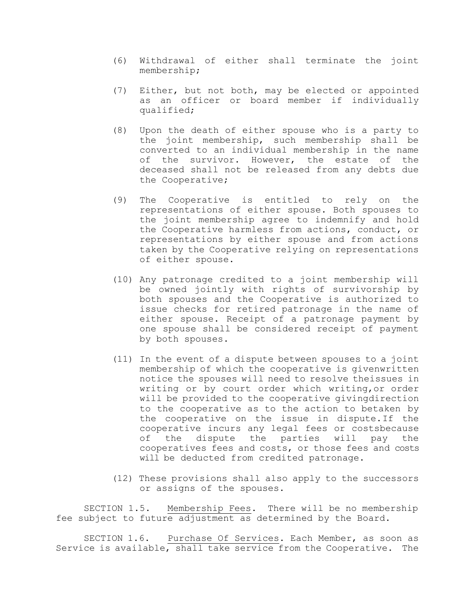- (6) Withdrawal of either shall terminate the joint membership;
- (7) Either, but not both, may be elected or appointed as an officer or board member if individually qualified;
- (8) Upon the death of either spouse who is a party to the joint membership, such membership shall be converted to an individual membership in the name of the survivor. However, the estate of the deceased shall not be released from any debts due the Cooperative;
- (9) The Cooperative is entitled to rely on the representations of either spouse. Both spouses to the joint membership agree to indemnify and hold the Cooperative harmless from actions, conduct, or representations by either spouse and from actions taken by the Cooperative relying on representations of either spouse.
- (10) Any patronage credited to a joint membership will be owned jointly with rights of survivorship by both spouses and the Cooperative is authorized to issue checks for retired patronage in the name of either spouse. Receipt of a patronage payment by one spouse shall be considered receipt of payment by both spouses.
- (11) In the event of a dispute between spouses to a joint membership of which the cooperative is givenwritten notice the spouses will need to resolve theissues in writing or by court order which writing,or order will be provided to the cooperative givingdirection to the cooperative as to the action to betaken by the cooperative on the issue in dispute.If the cooperative incurs any legal fees or costsbecause of the dispute the parties will pay the cooperatives fees and costs, or those fees and costs will be deducted from credited patronage.
- (12) These provisions shall also apply to the successors or assigns of the spouses.

SECTION 1.5. Membership Fees. There will be no membership fee subject to future adjustment as determined by the Board.

SECTION 1.6. Purchase Of Services. Each Member, as soon as Service is available, shall take service from the Cooperative. The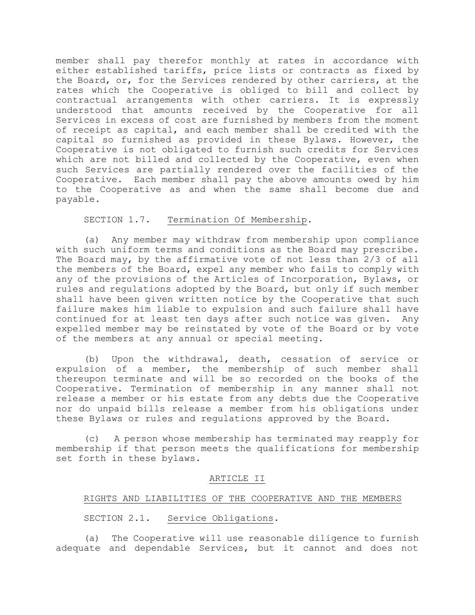member shall pay therefor monthly at rates in accordance with either established tariffs, price lists or contracts as fixed by the Board, or, for the Services rendered by other carriers, at the rates which the Cooperative is obliged to bill and collect by contractual arrangements with other carriers. It is expressly understood that amounts received by the Cooperative for all Services in excess of cost are furnished by members from the moment of receipt as capital, and each member shall be credited with the capital so furnished as provided in these Bylaws. However, the Cooperative is not obligated to furnish such credits for Services which are not billed and collected by the Cooperative, even when such Services are partially rendered over the facilities of the Cooperative. Each member shall pay the above amounts owed by him to the Cooperative as and when the same shall become due and payable.

## SECTION 1.7. Termination Of Membership.

(a) Any member may withdraw from membership upon compliance with such uniform terms and conditions as the Board may prescribe. The Board may, by the affirmative vote of not less than 2/3 of all the members of the Board, expel any member who fails to comply with any of the provisions of the Articles of Incorporation, Bylaws, or rules and regulations adopted by the Board, but only if such member shall have been given written notice by the Cooperative that such failure makes him liable to expulsion and such failure shall have continued for at least ten days after such notice was given. Any expelled member may be reinstated by vote of the Board or by vote of the members at any annual or special meeting.

(b) Upon the withdrawal, death, cessation of service or expulsion of a member, the membership of such member shall thereupon terminate and will be so recorded on the books of the Cooperative. Termination of membership in any manner shall not release a member or his estate from any debts due the Cooperative nor do unpaid bills release a member from his obligations under these Bylaws or rules and regulations approved by the Board.

(c) A person whose membership has terminated may reapply for membership if that person meets the qualifications for membership set forth in these bylaws.

## ARTICLE II

## RIGHTS AND LIABILITIES OF THE COOPERATIVE AND THE MEMBERS

## SECTION 2.1. Service Obligations.

(a) The Cooperative will use reasonable diligence to furnish adequate and dependable Services, but it cannot and does not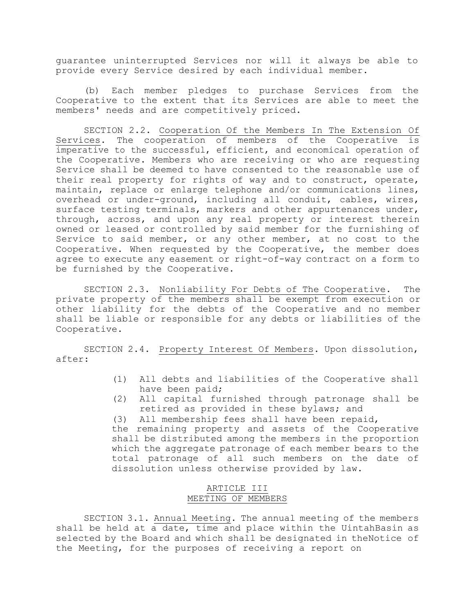guarantee uninterrupted Services nor will it always be able to provide every Service desired by each individual member.

(b) Each member pledges to purchase Services from the Cooperative to the extent that its Services are able to meet the members' needs and are competitively priced.

SECTION 2.2. Cooperation Of the Members In The Extension Of Services. The cooperation of members of the Cooperative is imperative to the successful, efficient, and economical operation of the Cooperative. Members who are receiving or who are requesting Service shall be deemed to have consented to the reasonable use of their real property for rights of way and to construct, operate, maintain, replace or enlarge telephone and/or communications lines, overhead or under-ground, including all conduit, cables, wires, surface testing terminals, markers and other appurtenances under, through, across, and upon any real property or interest therein owned or leased or controlled by said member for the furnishing of Service to said member, or any other member, at no cost to the Cooperative. When requested by the Cooperative, the member does agree to execute any easement or right-of-way contract on a form to be furnished by the Cooperative.

SECTION 2.3. Nonliability For Debts of The Cooperative. The private property of the members shall be exempt from execution or other liability for the debts of the Cooperative and no member shall be liable or responsible for any debts or liabilities of the Cooperative.

SECTION 2.4. Property Interest Of Members. Upon dissolution, after:

- (1) All debts and liabilities of the Cooperative shall have been paid;
- (2) All capital furnished through patronage shall be retired as provided in these bylaws; and
- (3) All membership fees shall have been repaid,

the remaining property and assets of the Cooperative shall be distributed among the members in the proportion which the aggregate patronage of each member bears to the total patronage of all such members on the date of dissolution unless otherwise provided by law.

# ARTICLE III MEETING OF MEMBERS

SECTION 3.1. Annual Meeting. The annual meeting of the members shall be held at a date, time and place within the UintahBasin as selected by the Board and which shall be designated in theNotice of the Meeting, for the purposes of receiving a report on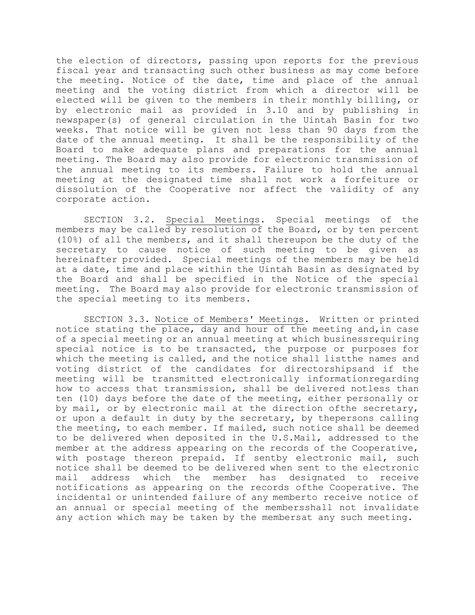the election of directors, passing upon reports for the previous fiscal year and transacting such other business as may come before the meeting. Notice of the date, time and place of the annual meeting and the voting district from which a director will be elected will be given to the members in their monthly billing, or by electronic mail as provided in 3.10 and by publishing in newspaper(s) of general circulation in the Uintah Basin for two weeks. That notice will be given not less than 90 days from the date of the annual meeting. It shall be the responsibility of the Board to make adequate plans and preparations for the annual meeting. The Board may also provide for electronic transmission of the annual meeting to its members. Failure to hold the annual meeting at the designated time shall not work a forfeiture or dissolution of the Cooperative nor affect the validity of any corporate action.

SECTION 3.2. Special Meetings. Special meetings of the members may be called by resolution of the Board, or by ten percent (10%) of all the members, and it shall thereupon be the duty of the secretary to cause notice of such meeting to be given as hereinafter provided. Special meetings of the members may be held at a date, time and place within the Uintah Basin as designated by the Board and shall be specified in the Notice of the special meeting. The Board may also provide for electronic transmission of the special meeting to its members.

SECTION 3.3. Notice of Members' Meetings. Written or printed notice stating the place, day and hour of the meeting and,in case of a special meeting or an annual meeting at which businessrequiring special notice is to be transacted, the purpose or purposes for which the meeting is called, and the notice shall listthe names and voting district of the candidates for directorshipsand if the meeting will be transmitted electronically informationregarding how to access that transmission, shall be delivered notless than ten (10) days before the date of the meeting, either personally or by mail, or by electronic mail at the direction ofthe secretary, or upon a default in duty by the secretary, by thepersons calling the meeting, to each member. If mailed, such notice shall be deemed to be delivered when deposited in the U.S.Mail, addressed to the member at the address appearing on the records of the Cooperative, with postage thereon prepaid. If sentby electronic mail, such notice shall be deemed to be delivered when sent to the electronic mail address which the member has designated to receive notifications as appearing on the records ofthe Cooperative. The incidental or unintended failure of any memberto receive notice of an annual or special meeting of the membersshall not invalidate any action which may be taken by the membersat any such meeting.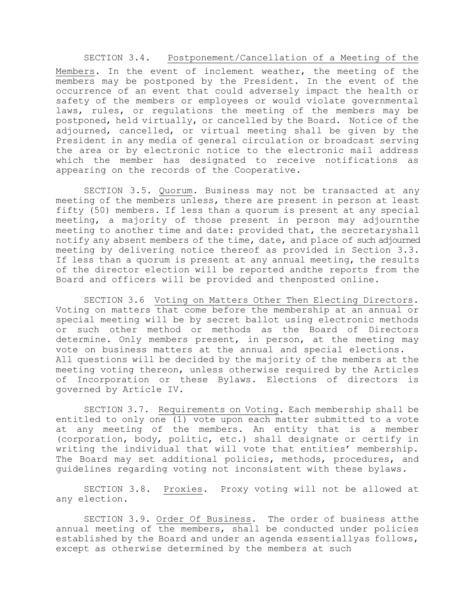### SECTION 3.4. Postponement/Cancellation of a Meeting of the

Members. In the event of inclement weather, the meeting of the members may be postponed by the President. In the event of the occurrence of an event that could adversely impact the health or safety of the members or employees or would violate governmental laws, rules, or regulations the meeting of the members may be postponed, held virtually, or cancelled by the Board. Notice of the adjourned, cancelled, or virtual meeting shall be given by the President in any media of general circulation or broadcast serving the area or by electronic notice to the electronic mail address which the member has designated to receive notifications as appearing on the records of the Cooperative.

SECTION 3.5. Quorum. Business may not be transacted at any meeting of the members unless, there are present in person at least fifty (50) members. If less than a quorum is present at any special meeting, a majority of those present in person may adjournthe meeting to another time and date: provided that, the secretaryshall notify any absent members of the time, date, and place of such adjourned meeting by delivering notice thereof as provided in Section 3.3. If less than a quorum is present at any annual meeting, the results of the director election will be reported andthe reports from the Board and officers will be provided and thenposted online.

SECTION 3.6 Voting on Matters Other Then Electing Directors. Voting on matters that come before the membership at an annual or special meeting will be by secret ballot using electronic methods or such other method or methods as the Board of Directors determine. Only members present, in person, at the meeting may vote on business matters at the annual and special elections. All questions will be decided by the majority of the members at the meeting voting thereon, unless otherwise required by the Articles of Incorporation or these Bylaws. Elections of directors is governed by Article IV.

SECTION 3.7. Requirements on Voting. Each membership shall be entitled to only one (1) vote upon each matter submitted to a vote at any meeting of the members. An entity that is a member (corporation, body, politic, etc.) shall designate or certify in writing the individual that will vote that entities' membership. The Board may set additional policies, methods, procedures, and guidelines regarding voting not inconsistent with these bylaws.

SECTION 3.8. Proxies. Proxy voting will not be allowed at any election.

SECTION 3.9. Order Of Business. The order of business atthe annual meeting of the members, shall be conducted under policies established by the Board and under an agenda essentiallyas follows, except as otherwise determined by the members at such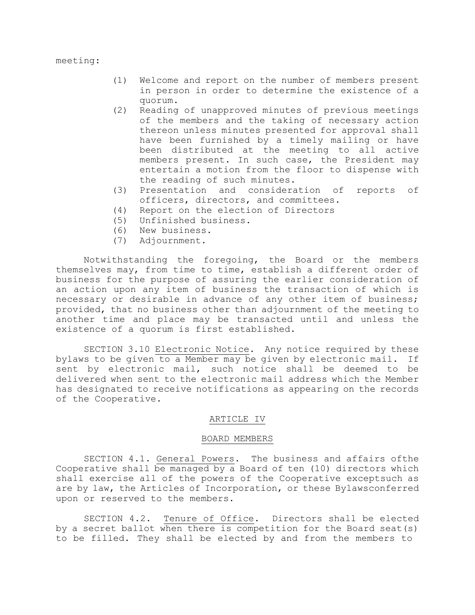- (1) Welcome and report on the number of members present in person in order to determine the existence of a quorum.
- (2) Reading of unapproved minutes of previous meetings of the members and the taking of necessary action thereon unless minutes presented for approval shall have been furnished by a timely mailing or have been distributed at the meeting to all active members present. In such case, the President may entertain a motion from the floor to dispense with the reading of such minutes.
- (3) Presentation and consideration of reports of officers, directors, and committees.
- (4) Report on the election of Directors
- (5) Unfinished business.
- (6) New business.
- (7) Adjournment.

Notwithstanding the foregoing, the Board or the members themselves may, from time to time, establish a different order of business for the purpose of assuring the earlier consideration of an action upon any item of business the transaction of which is necessary or desirable in advance of any other item of business; provided, that no business other than adjournment of the meeting to another time and place may be transacted until and unless the existence of a quorum is first established.

SECTION 3.10 Electronic Notice. Any notice required by these bylaws to be given to a Member may be given by electronic mail. If sent by electronic mail, such notice shall be deemed to be delivered when sent to the electronic mail address which the Member has designated to receive notifications as appearing on the records of the Cooperative.

#### ARTICLE IV

#### BOARD MEMBERS

SECTION 4.1. General Powers. The business and affairs ofthe Cooperative shall be managed by a Board of ten (10) directors which shall exercise all of the powers of the Cooperative exceptsuch as are by law, the Articles of Incorporation, or these Bylawsconferred upon or reserved to the members.

SECTION 4.2. Tenure of Office. Directors shall be elected by a secret ballot when there is competition for the Board seat(s) to be filled. They shall be elected by and from the members to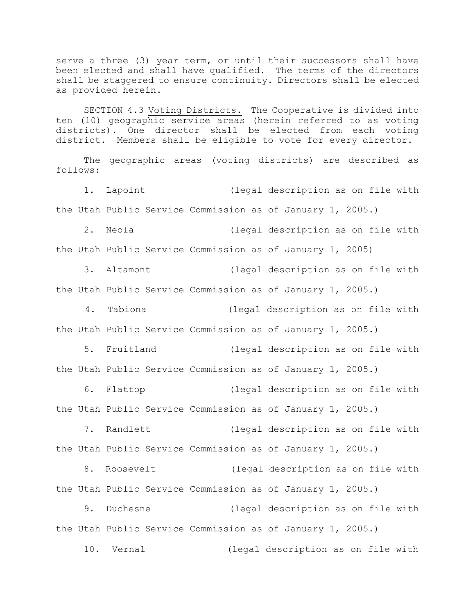serve a three (3) year term, or until their successors shall have been elected and shall have qualified. The terms of the directors shall be staggered to ensure continuity. Directors shall be elected as provided herein.

SECTION 4.3 Voting Districts. The Cooperative is divided into ten (10) geographic service areas (herein referred to as voting districts). One director shall be elected from each voting district. Members shall be eligible to vote for every director.

The geographic areas (voting districts) are described as follows:

1. Lapoint (legal description as on file with the Utah Public Service Commission as of January 1, 2005.)

2. Neola (legal description as on file with

the Utah Public Service Commission as of January 1, 2005)

3. Altamont (legal description as on file with the Utah Public Service Commission as of January 1, 2005.)

4. Tabiona (legal description as on file with the Utah Public Service Commission as of January 1, 2005.)

5. Fruitland (legal description as on file with the Utah Public Service Commission as of January 1, 2005.)

6. Flattop (legal description as on file with the Utah Public Service Commission as of January 1, 2005.)

7. Randlett (legal description as on file with the Utah Public Service Commission as of January 1, 2005.)

8. Roosevelt (legal description as on file with the Utah Public Service Commission as of January 1, 2005.)

9. Duchesne (legal description as on file with the Utah Public Service Commission as of January 1, 2005.)

10. Vernal (legal description as on file with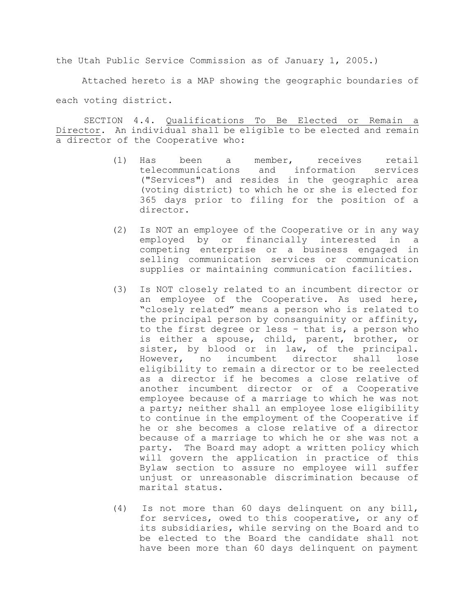the Utah Public Service Commission as of January 1, 2005.)

Attached hereto is a MAP showing the geographic boundaries of each voting district.

SECTION 4.4. Qualifications To Be Elected or Remain a Director. An individual shall be eligible to be elected and remain a director of the Cooperative who:

- (1) Has been a member, receives retail telecommunications and information services ("Services") and resides in the geographic area (voting district) to which he or she is elected for 365 days prior to filing for the position of a director.
- (2) Is NOT an employee of the Cooperative or in any way employed by or financially interested in a competing enterprise or a business engaged in selling communication services or communication supplies or maintaining communication facilities.
- (3) Is NOT closely related to an incumbent director or an employee of the Cooperative. As used here, "closely related" means a person who is related to the principal person by consanguinity or affinity, to the first degree or less – that is, a person who is either a spouse, child, parent, brother, or sister, by blood or in law, of the principal. However, no incumbent director shall lose eligibility to remain a director or to be reelected as a director if he becomes a close relative of another incumbent director or of a Cooperative employee because of a marriage to which he was not a party; neither shall an employee lose eligibility to continue in the employment of the Cooperative if he or she becomes a close relative of a director because of a marriage to which he or she was not a party. The Board may adopt a written policy which will govern the application in practice of this Bylaw section to assure no employee will suffer unjust or unreasonable discrimination because of marital status.
- (4) Is not more than 60 days delinquent on any bill, for services, owed to this cooperative, or any of its subsidiaries, while serving on the Board and to be elected to the Board the candidate shall not have been more than 60 days delinquent on payment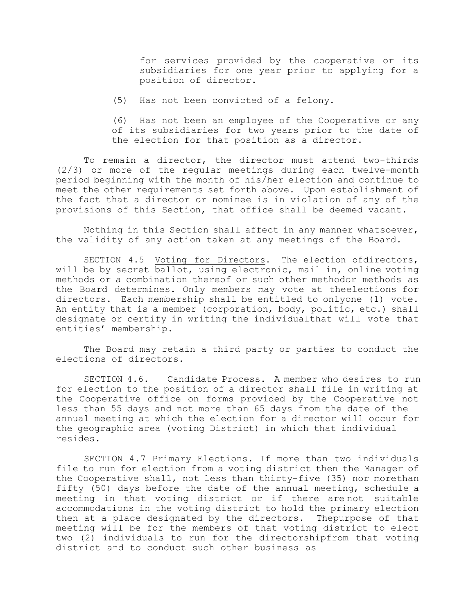for services provided by the cooperative or its subsidiaries for one year prior to applying for a position of director.

(5) Has not been convicted of a felony.

(6) Has not been an employee of the Cooperative or any of its subsidiaries for two years prior to the date of the election for that position as a director.

To remain a director, the director must attend two-thirds (2/3) or more of the regular meetings during each twelve-month period beginning with the month of his/her election and continue to meet the other requirements set forth above. Upon establishment of the fact that a director or nominee is in violation of any of the provisions of this Section, that office shall be deemed vacant.

Nothing in this Section shall affect in any manner whatsoever, the validity of any action taken at any meetings of the Board.

SECTION 4.5 Voting for Directors. The election ofdirectors, will be by secret ballot, using electronic, mail in, online voting methods or a combination thereof or such other methodor methods as the Board determines. Only members may vote at theelections for directors. Each membership shall be entitled to onlyone (1) vote. An entity that is a member (corporation, body, politic, etc.) shall designate or certify in writing the individualthat will vote that entities' membership.

The Board may retain a third party or parties to conduct the elections of directors.

SECTION 4.6. Candidate Process. A member who desires to run for election to the position of a director shall file in writing at the Cooperative office on forms provided by the Cooperative not less than 55 days and not more than 65 days from the date of the annual meeting at which the election for a director will occur for the geographic area (voting District) in which that individual resides.

SECTION 4.7 Primary Elections. If more than two individuals file to run for election from a voting district then the Manager of the Cooperative shall, not less than thirty-five (35) nor morethan fifty (50) days before the date of the annual meeting, schedule a meeting in that voting district or if there are not suitable accommodations in the voting district to hold the primary election then at a place designated by the directors. Thepurpose of that meeting will be for the members of that voting district to elect two (2) individuals to run for the directorshipfrom that voting district and to conduct sueh other business as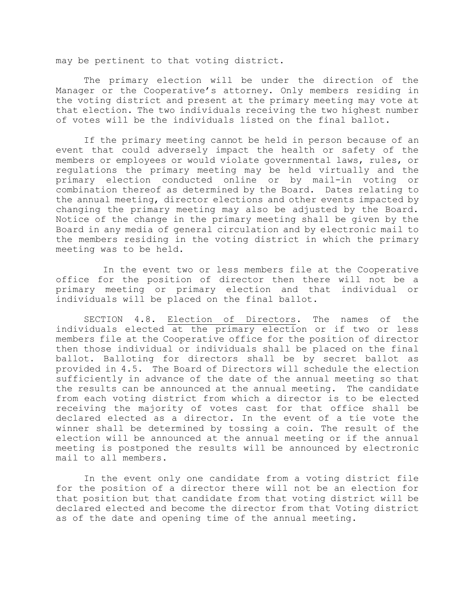may be pertinent to that voting district.

The primary election will be under the direction of the Manager or the Cooperative's attorney. Only members residing in the voting district and present at the primary meeting may vote at that election. The two individuals receiving the two highest number of votes will be the individuals listed on the final ballot.

If the primary meeting cannot be held in person because of an event that could adversely impact the health or safety of the members or employees or would violate governmental laws, rules, or regulations the primary meeting may be held virtually and the primary election conducted online or by mail-in voting or combination thereof as determined by the Board. Dates relating to the annual meeting, director elections and other events impacted by changing the primary meeting may also be adjusted by the Board. Notice of the change in the primary meeting shall be given by the Board in any media of general circulation and by electronic mail to the members residing in the voting district in which the primary meeting was to be held.

In the event two or less members file at the Cooperative office for the position of director then there will not be a primary meeting or primary election and that individual or individuals will be placed on the final ballot.

SECTION 4.8. Election of Directors. The names of the individuals elected at the primary election or if two or less members file at the Cooperative office for the position of director then those individual or individuals shall be placed on the final ballot. Balloting for directors shall be by secret ballot as provided in 4.5. The Board of Directors will schedule the election sufficiently in advance of the date of the annual meeting so that the results can be announced at the annual meeting. The candidate from each voting district from which a director is to be elected receiving the majority of votes cast for that office shall be declared elected as a director. In the event of a tie vote the winner shall be determined by tossing a coin. The result of the election will be announced at the annual meeting or if the annual meeting is postponed the results will be announced by electronic mail to all members.

In the event only one candidate from a voting district file for the position of a director there will not be an election for that position but that candidate from that voting district will be declared elected and become the director from that Voting district as of the date and opening time of the annual meeting.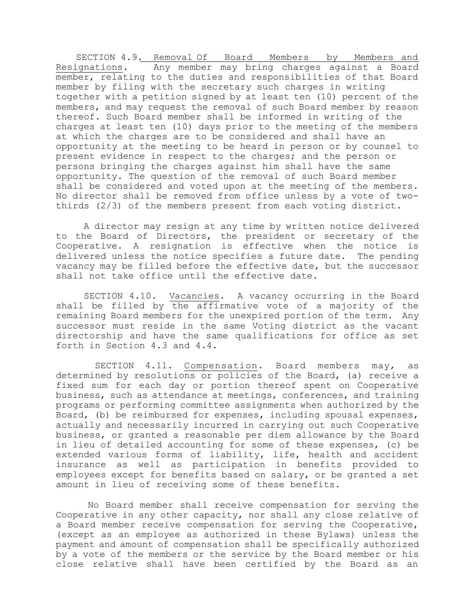SECTION 4.9. Removal Of Board Members by Members and Resignations. Any member may bring charges against a Board member, relating to the duties and responsibilities of that Board member by filing with the secretary such charges in writing together with a petition signed by at least ten (10) percent of the members, and may request the removal of such Board member by reason thereof. Such Board member shall be informed in writing of the charges at least ten (10) days prior to the meeting of the members at which the charges are to be considered and shall have an opportunity at the meeting to be heard in person or by counsel to present evidence in respect to the charges; and the person or persons bringing the charges against him shall have the same opportunity. The question of the removal of such Board member shall be considered and voted upon at the meeting of the members. No director shall be removed from office unless by a vote of twothirds (2/3) of the members present from each voting district.

A director may resign at any time by written notice delivered to the Board of Directors, the president or secretary of the Cooperative. A resignation is effective when the notice is delivered unless the notice specifies a future date. The pending vacancy may be filled before the effective date, but the successor shall not take office until the effective date.

SECTION 4.10. Vacancies. A vacancy occurring in the Board shall be filled by the affirmative vote of a majority of the remaining Board members for the unexpired portion of the term. Any successor must reside in the same Voting district as the vacant directorship and have the same qualifications for office as set forth in Section 4.3 and 4.4.

SECTION 4.11. Compensation. Board members may, as determined by resolutions or policies of the Board, (a) receive a fixed sum for each day or portion thereof spent on Cooperative business, such as attendance at meetings, conferences, and training programs or performing committee assignments when authorized by the Board, (b) be reimbursed for expenses, including spousal expenses, actually and necessarily incurred in carrying out such Cooperative business, or granted a reasonable per diem allowance by the Board in lieu of detailed accounting for some of these expenses, (c) be extended various forms of liability, life, health and accident insurance as well as participation in benefits provided to employees except for benefits based on salary, or be granted a set amount in lieu of receiving some of these benefits.

No Board member shall receive compensation for serving the Cooperative in any other capacity, nor shall any close relative of a Board member receive compensation for serving the Cooperative, (except as an employee as authorized in these Bylaws) unless the payment and amount of compensation shall be specifically authorized by a vote of the members or the service by the Board member or his close relative shall have been certified by the Board as an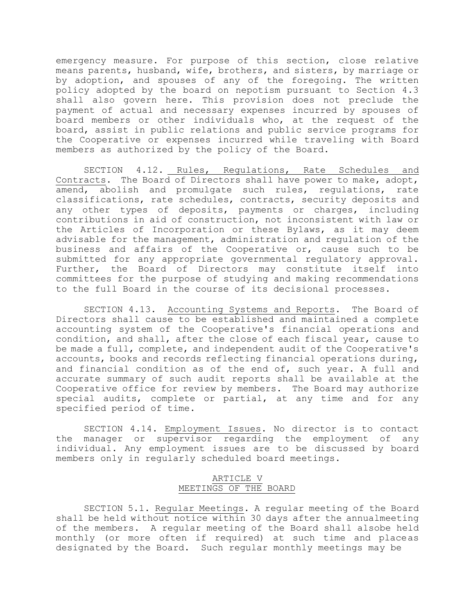emergency measure. For purpose of this section, close relative means parents, husband, wife, brothers, and sisters, by marriage or by adoption, and spouses of any of the foregoing. The written policy adopted by the board on nepotism pursuant to Section 4.3 shall also govern here. This provision does not preclude the payment of actual and necessary expenses incurred by spouses of board members or other individuals who, at the request of the board, assist in public relations and public service programs for the Cooperative or expenses incurred while traveling with Board members as authorized by the policy of the Board.

SECTION 4.12. Rules, Regulations, Rate Schedules and Contracts. The Board of Directors shall have power to make, adopt, amend, abolish and promulgate such rules, regulations, rate classifications, rate schedules, contracts, security deposits and any other types of deposits, payments or charges, including contributions in aid of construction, not inconsistent with law or the Articles of Incorporation or these Bylaws, as it may deem advisable for the management, administration and regulation of the business and affairs of the Cooperative or, cause such to be submitted for any appropriate governmental regulatory approval. Further, the Board of Directors may constitute itself into committees for the purpose of studying and making recommendations to the full Board in the course of its decisional processes.

SECTION 4.13. Accounting Systems and Reports. The Board of Directors shall cause to be established and maintained a complete accounting system of the Cooperative's financial operations and condition, and shall, after the close of each fiscal year, cause to be made a full, complete, and independent audit of the Cooperative's accounts, books and records reflecting financial operations during, and financial condition as of the end of, such year. A full and accurate summary of such audit reports shall be available at the Cooperative office for review by members. The Board may authorize special audits, complete or partial, at any time and for any specified period of time.

SECTION 4.14. Employment Issues. No director is to contact the manager or supervisor regarding the employment of any individual. Any employment issues are to be discussed by board members only in regularly scheduled board meetings.

## ARTICLE V MEETINGS OF THE BOARD

SECTION 5.1. Regular Meetings. A regular meeting of the Board shall be held without notice within 30 days after the annualmeeting of the members. A regular meeting of the Board shall alsobe held monthly (or more often if required) at such time and placeas designated by the Board. Such regular monthly meetings may be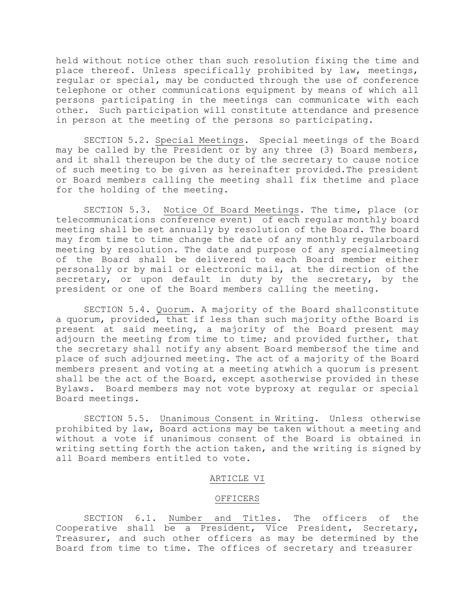held without notice other than such resolution fixing the time and place thereof. Unless specifically prohibited by law, meetings, regular or special, may be conducted through the use of conference telephone or other communications equipment by means of which all persons participating in the meetings can communicate with each other. Such participation will constitute attendance and presence in person at the meeting of the persons so participating.

SECTION 5.2. Special Meetings. Special meetings of the Board may be called by the President or by any three (3) Board members, and it shall thereupon be the duty of the secretary to cause notice of such meeting to be given as hereinafter provided.The president or Board members calling the meeting shall fix thetime and place for the holding of the meeting.

SECTION 5.3. Notice Of Board Meetings. The time, place (or telecommunications conference event) of each regular monthly board meeting shall be set annually by resolution of the Board. The board may from time to time change the date of any monthly regularboard meeting by resolution. The date and purpose of any specialmeeting of the Board shall be delivered to each Board member either personally or by mail or electronic mail, at the direction of the secretary, or upon default in duty by the secretary, by the president or one of the Board members calling the meeting.

SECTION 5.4. Quorum. A majority of the Board shallconstitute a quorum, provided, that if less than such majority ofthe Board is present at said meeting, a majority of the Board present may adjourn the meeting from time to time; and provided further, that the secretary shall notify any absent Board membersof the time and place of such adjourned meeting. The act of a majority of the Board members present and voting at a meeting atwhich a quorum is present shall be the act of the Board, except asotherwise provided in these Bylaws. Board members may not vote byproxy at regular or special Board meetings.

SECTION 5.5. Unanimous Consent in Writing. Unless otherwise prohibited by law, Board actions may be taken without a meeting and without a vote if unanimous consent of the Board is obtained in writing setting forth the action taken, and the writing is signed by all Board members entitled to vote.

### ARTICLE VI

#### OFFICERS

SECTION 6.1. Number and Titles. The officers of the Cooperative shall be a President, Vice President, Secretary, Treasurer, and such other officers as may be determined by the Board from time to time. The offices of secretary and treasurer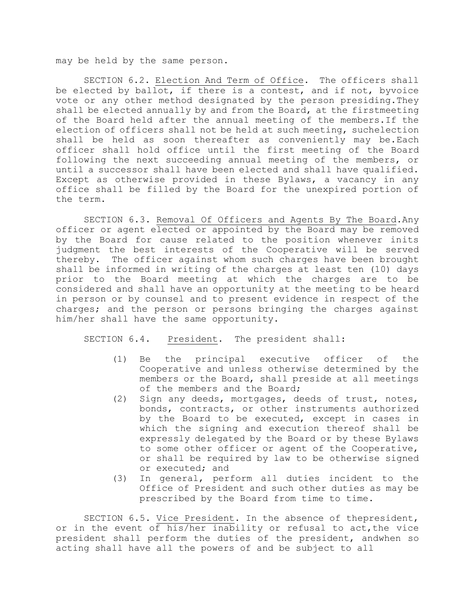may be held by the same person.

SECTION 6.2. Election And Term of Office. The officers shall be elected by ballot, if there is a contest, and if not, byvoice vote or any other method designated by the person presiding.They shall be elected annually by and from the Board, at the firstmeeting of the Board held after the annual meeting of the members.If the election of officers shall not be held at such meeting, suchelection shall be held as soon thereafter as conveniently may be.Each officer shall hold office until the first meeting of the Board following the next succeeding annual meeting of the members, or until a successor shall have been elected and shall have qualified. Except as otherwise provided in these Bylaws, a vacancy in any office shall be filled by the Board for the unexpired portion of the term.

SECTION 6.3. Removal Of Officers and Agents By The Board.Any officer or agent elected or appointed by the Board may be removed by the Board for cause related to the position whenever inits judgment the best interests of the Cooperative will be served thereby. The officer against whom such charges have been brought shall be informed in writing of the charges at least ten (10) days prior to the Board meeting at which the charges are to be considered and shall have an opportunity at the meeting to be heard in person or by counsel and to present evidence in respect of the charges; and the person or persons bringing the charges against him/her shall have the same opportunity.

SECTION 6.4. President. The president shall:

- (1) Be the principal executive officer of the Cooperative and unless otherwise determined by the members or the Board, shall preside at all meetings of the members and the Board;
- (2) Sign any deeds, mortgages, deeds of trust, notes, bonds, contracts, or other instruments authorized by the Board to be executed, except in cases in which the signing and execution thereof shall be expressly delegated by the Board or by these Bylaws to some other officer or agent of the Cooperative, or shall be required by law to be otherwise signed or executed; and
- (3) In general, perform all duties incident to the Office of President and such other duties as may be prescribed by the Board from time to time.

SECTION 6.5. Vice President. In the absence of thepresident, or in the event of his/her inability or refusal to act,the vice president shall perform the duties of the president, andwhen so acting shall have all the powers of and be subject to all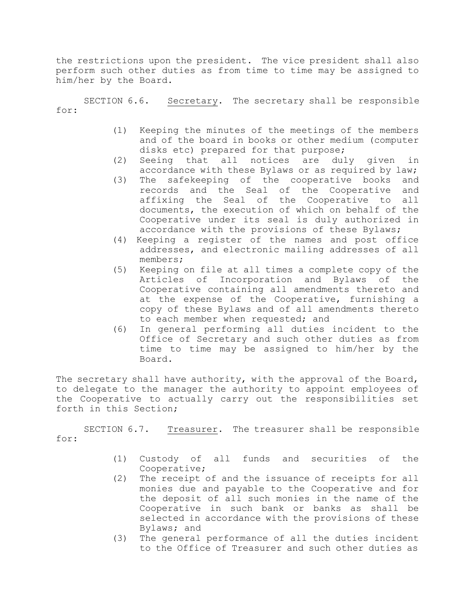the restrictions upon the president. The vice president shall also perform such other duties as from time to time may be assigned to him/her by the Board.

SECTION 6.6. Secretary. The secretary shall be responsible for:

- (1) Keeping the minutes of the meetings of the members and of the board in books or other medium (computer disks etc) prepared for that purpose;
- (2) Seeing that all notices are duly given in accordance with these Bylaws or as required by law;
- (3) The safekeeping of the cooperative books and records and the Seal of the Cooperative and affixing the Seal of the Cooperative to all documents, the execution of which on behalf of the Cooperative under its seal is duly authorized in accordance with the provisions of these Bylaws;
- (4) Keeping a register of the names and post office addresses, and electronic mailing addresses of all members;
- (5) Keeping on file at all times a complete copy of the Articles of Incorporation and Bylaws of the Cooperative containing all amendments thereto and at the expense of the Cooperative, furnishing a copy of these Bylaws and of all amendments thereto to each member when requested; and
- (6) In general performing all duties incident to the Office of Secretary and such other duties as from time to time may be assigned to him/her by the Board.

The secretary shall have authority, with the approval of the Board, to delegate to the manager the authority to appoint employees of the Cooperative to actually carry out the responsibilities set forth in this Section;

SECTION 6.7. Treasurer. The treasurer shall be responsible for:

- (1) Custody of all funds and securities of the Cooperative;
- (2) The receipt of and the issuance of receipts for all monies due and payable to the Cooperative and for the deposit of all such monies in the name of the Cooperative in such bank or banks as shall be selected in accordance with the provisions of these Bylaws; and
- (3) The general performance of all the duties incident to the Office of Treasurer and such other duties as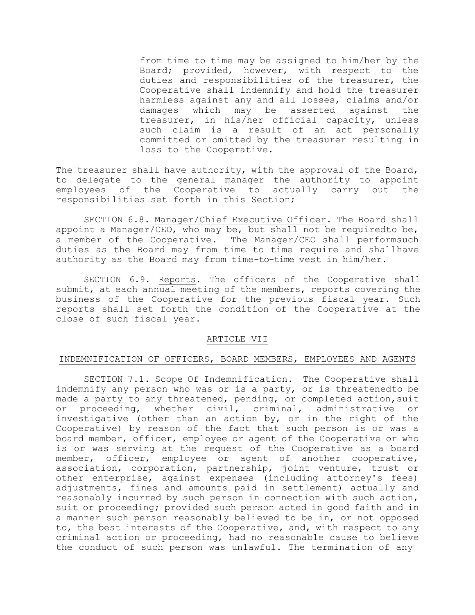from time to time may be assigned to him/her by the Board; provided, however, with respect to the duties and responsibilities of the treasurer, the Cooperative shall indemnify and hold the treasurer harmless against any and all losses, claims and/or damages which may be asserted against the treasurer, in his/her official capacity, unless such claim is a result of an act personally committed or omitted by the treasurer resulting in loss to the Cooperative.

The treasurer shall have authority, with the approval of the Board, to delegate to the general manager the authority to appoint employees of the Cooperative to actually carry out the responsibilities set forth in this Section;

SECTION 6.8. Manager/Chief Executive Officer. The Board shall appoint a Manager/CEO, who may be, but shall not be requiredto be, a member of the Cooperative. The Manager/CEO shall performsuch duties as the Board may from time to time require and shallhave authority as the Board may from time-to-time vest in him/her.

SECTION 6.9. Reports. The officers of the Cooperative shall submit, at each annual meeting of the members, reports covering the business of the Cooperative for the previous fiscal year. Such reports shall set forth the condition of the Cooperative at the close of such fiscal year.

## ARTICLE VII

## INDEMNIFICATION OF OFFICERS, BOARD MEMBERS, EMPLOYEES AND AGENTS

SECTION 7.1. Scope Of Indemnification. The Cooperative shall indemnify any person who was or is a party, or is threatenedto be made a party to any threatened, pending, or completed action, suit or proceeding, whether civil, criminal, administrative or investigative (other than an action by, or in the right of the Cooperative) by reason of the fact that such person is or was a board member, officer, employee or agent of the Cooperative or who is or was serving at the request of the Cooperative as a board member, officer, employee or agent of another cooperative, association, corporation, partnership, joint venture, trust or other enterprise, against expenses (including attorney's fees) adjustments, fines and amounts paid in settlement) actually and reasonably incurred by such person in connection with such action, suit or proceeding; provided such person acted in good faith and in a manner such person reasonably believed to be in, or not opposed to, the best interests of the Cooperative, and, with respect to any criminal action or proceeding, had no reasonable cause to believe the conduct of such person was unlawful. The termination of any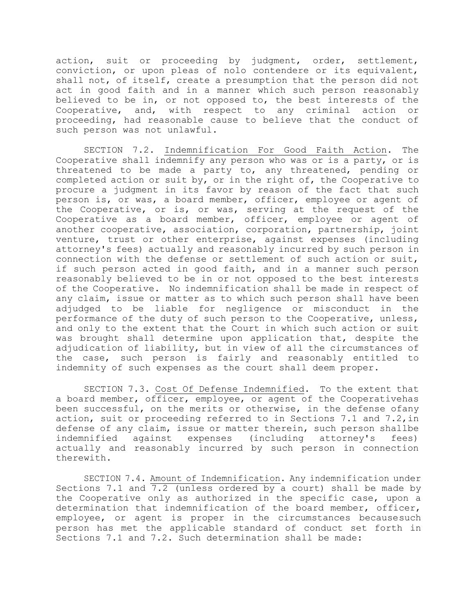action, suit or proceeding by judgment, order, settlement, conviction, or upon pleas of nolo contendere or its equivalent, shall not, of itself, create a presumption that the person did not act in good faith and in a manner which such person reasonably believed to be in, or not opposed to, the best interests of the Cooperative, and, with respect to any criminal action or proceeding, had reasonable cause to believe that the conduct of such person was not unlawful.

SECTION 7.2. Indemnification For Good Faith Action. The Cooperative shall indemnify any person who was or is a party, or is threatened to be made a party to, any threatened, pending or completed action or suit by, or in the right of, the Cooperative to procure a judgment in its favor by reason of the fact that such person is, or was, a board member, officer, employee or agent of the Cooperative, or is, or was, serving at the request of the Cooperative as a board member, officer, employee or agent of another cooperative, association, corporation, partnership, joint venture, trust or other enterprise, against expenses (including attorney's fees) actually and reasonably incurred by such person in connection with the defense or settlement of such action or suit, if such person acted in good faith, and in a manner such person reasonably believed to be in or not opposed to the best interests of the Cooperative. No indemnification shall be made in respect of any claim, issue or matter as to which such person shall have been adjudged to be liable for negligence or misconduct in the performance of the duty of such person to the Cooperative, unless, and only to the extent that the Court in which such action or suit was brought shall determine upon application that, despite the adjudication of liability, but in view of all the circumstances of the case, such person is fairly and reasonably entitled to indemnity of such expenses as the court shall deem proper.

SECTION 7.3. Cost Of Defense Indemnified. To the extent that a board member, officer, employee, or agent of the Cooperativehas been successful, on the merits or otherwise, in the defense ofany action, suit or proceeding referred to in Sections 7.1 and 7.2,in defense of any claim, issue or matter therein, such person shallbe indemnified against expenses (including attorney's fees) actually and reasonably incurred by such person in connection therewith.

SECTION 7.4. Amount of Indemnification. Any indemnification under Sections 7.1 and  $\overline{7.2}$  (unless ordered by a court) shall be made by the Cooperative only as authorized in the specific case, upon a determination that indemnification of the board member, officer, employee, or agent is proper in the circumstances becausesuch person has met the applicable standard of conduct set forth in Sections 7.1 and 7.2. Such determination shall be made: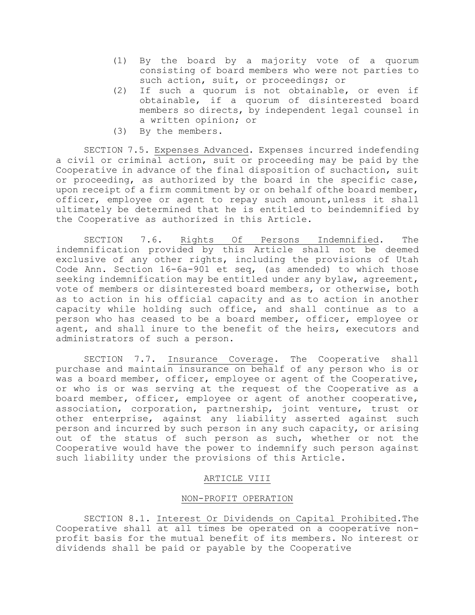- (1) By the board by a majority vote of a quorum consisting of board members who were not parties to such action, suit, or proceedings; or
- (2) If such a quorum is not obtainable, or even if obtainable, if a quorum of disinterested board members so directs, by independent legal counsel in a written opinion; or
- (3) By the members.

SECTION 7.5. Expenses Advanced. Expenses incurred indefending a civil or criminal action, suit or proceeding may be paid by the Cooperative in advance of the final disposition of suchaction, suit or proceeding, as authorized by the board in the specific case, upon receipt of a firm commitment by or on behalf ofthe board member, officer, employee or agent to repay such amount,unless it shall ultimately be determined that he is entitled to beindemnified by the Cooperative as authorized in this Article.

SECTION 7.6. Rights Of Persons Indemnified. The indemnification provided by this Article shall not be deemed exclusive of any other rights, including the provisions of Utah Code Ann. Section 16-6a-901 et seq, (as amended) to which those seeking indemnification may be entitled under any bylaw, agreement, vote of members or disinterested board members, or otherwise, both as to action in his official capacity and as to action in another capacity while holding such office, and shall continue as to a person who has ceased to be a board member, officer, employee or agent, and shall inure to the benefit of the heirs, executors and administrators of such a person.

SECTION 7.7. Insurance Coverage. The Cooperative shall purchase and maintain insurance on behalf of any person who is or was a board member, officer, employee or agent of the Cooperative, or who is or was serving at the request of the Cooperative as a board member, officer, employee or agent of another cooperative, association, corporation, partnership, joint venture, trust or other enterprise, against any liability asserted against such person and incurred by such person in any such capacity, or arising out of the status of such person as such, whether or not the Cooperative would have the power to indemnify such person against such liability under the provisions of this Article.

## ARTICLE VIII

## NON-PROFIT OPERATION

SECTION 8.1. Interest Or Dividends on Capital Prohibited.The Cooperative shall at all times be operated on a cooperative nonprofit basis for the mutual benefit of its members. No interest or dividends shall be paid or payable by the Cooperative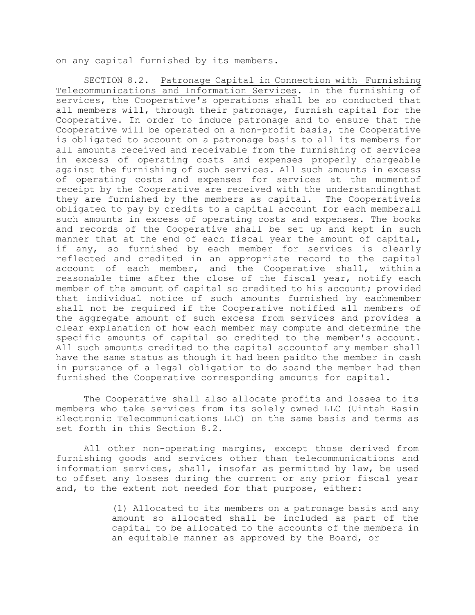on any capital furnished by its members.

SECTION 8.2. Patronage Capital in Connection with Furnishing Telecommunications and Information Services. In the furnishing of services, the Cooperative's operations shall be so conducted that all members will, through their patronage, furnish capital for the Cooperative. In order to induce patronage and to ensure that the Cooperative will be operated on a non-profit basis, the Cooperative is obligated to account on a patronage basis to all its members for all amounts received and receivable from the furnishing of services in excess of operating costs and expenses properly chargeable against the furnishing of such services. All such amounts in excess of operating costs and expenses for services at the momentof receipt by the Cooperative are received with the understandingthat they are furnished by the members as capital. The Cooperativeis obligated to pay by credits to a capital account for each memberall such amounts in excess of operating costs and expenses. The books and records of the Cooperative shall be set up and kept in such manner that at the end of each fiscal year the amount of capital, if any, so furnished by each member for services is clearly reflected and credited in an appropriate record to the capital account of each member, and the Cooperative shall, within a reasonable time after the close of the fiscal year, notify each member of the amount of capital so credited to his account; provided that individual notice of such amounts furnished by eachmember shall not be required if the Cooperative notified all members of the aggregate amount of such excess from services and provides a clear explanation of how each member may compute and determine the specific amounts of capital so credited to the member's account. All such amounts credited to the capital accountof any member shall have the same status as though it had been paidto the member in cash in pursuance of a legal obligation to do soand the member had then furnished the Cooperative corresponding amounts for capital.

The Cooperative shall also allocate profits and losses to its members who take services from its solely owned LLC (Uintah Basin Electronic Telecommunications LLC) on the same basis and terms as set forth in this Section 8.2.

All other non-operating margins, except those derived from furnishing goods and services other than telecommunications and information services, shall, insofar as permitted by law, be used to offset any losses during the current or any prior fiscal year and, to the extent not needed for that purpose, either:

> (1) Allocated to its members on a patronage basis and any amount so allocated shall be included as part of the capital to be allocated to the accounts of the members in an equitable manner as approved by the Board, or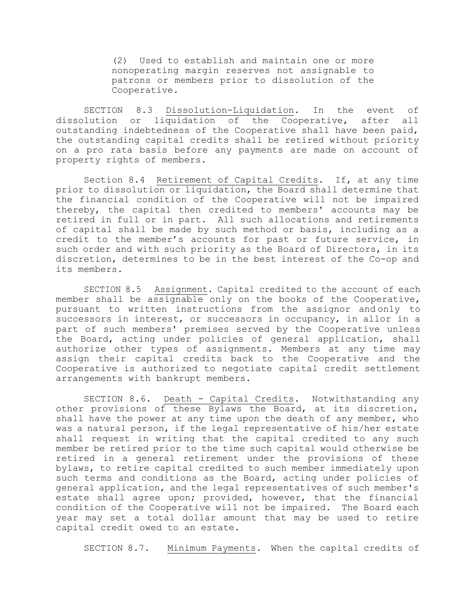(2) Used to establish and maintain one or more nonoperating margin reserves not assignable to patrons or members prior to dissolution of the Cooperative.

SECTION 8.3 Dissolution-Liquidation. In the event of dissolution or liquidation of the Cooperative, after all outstanding indebtedness of the Cooperative shall have been paid, the outstanding capital credits shall be retired without priority on a pro rata basis before any payments are made on account of property rights of members.

Section 8.4 Retirement of Capital Credits. If, at any time prior to dissolution or liquidation, the Board shall determine that the financial condition of the Cooperative will not be impaired thereby, the capital then credited to members' accounts may be retired in full or in part. All such allocations and retirements of capital shall be made by such method or basis, including as a credit to the member's accounts for past or future service, in such order and with such priority as the Board of Directors, in its discretion, determines to be in the best interest of the Co-op and its members.

SECTION 8.5 Assignment. Capital credited to the account of each member shall be assignable only on the books of the Cooperative, pursuant to written instructions from the assignor and only to successors in interest, or successors in occupancy, in allor in a part of such members' premises served by the Cooperative unless the Board, acting under policies of general application, shall authorize other types of assignments. Members at any time may assign their capital credits back to the Cooperative and the Cooperative is authorized to negotiate capital credit settlement arrangements with bankrupt members.

SECTION 8.6. Death - Capital Credits. Notwithstanding any other provisions of these Bylaws the Board, at its discretion, shall have the power at any time upon the death of any member, who was a natural person, if the legal representative of his/her estate shall request in writing that the capital credited to any such member be retired prior to the time such capital would otherwise be retired in a general retirement under the provisions of these bylaws, to retire capital credited to such member immediately upon such terms and conditions as the Board, acting under policies of general application, and the legal representatives of such member's estate shall agree upon; provided, however, that the financial condition of the Cooperative will not be impaired. The Board each year may set a total dollar amount that may be used to retire capital credit owed to an estate.

SECTION 8.7. Minimum Payments. When the capital credits of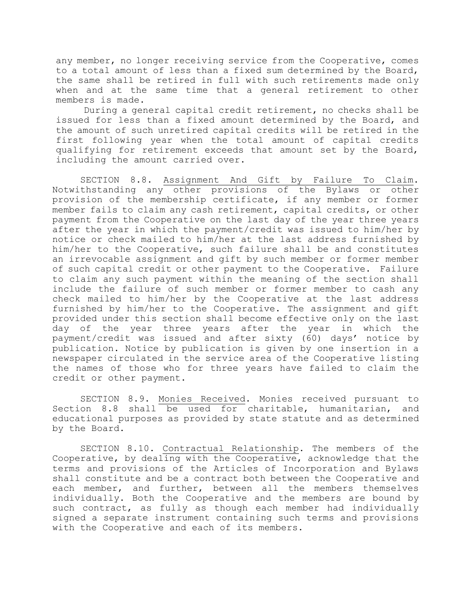any member, no longer receiving service from the Cooperative, comes to a total amount of less than a fixed sum determined by the Board, the same shall be retired in full with such retirements made only when and at the same time that a general retirement to other members is made.

During a general capital credit retirement, no checks shall be issued for less than a fixed amount determined by the Board, and the amount of such unretired capital credits will be retired in the first following year when the total amount of capital credits qualifying for retirement exceeds that amount set by the Board, including the amount carried over.

SECTION 8.8. Assignment And Gift by Failure To Claim. Notwithstanding any other provisions of the Bylaws or other provision of the membership certificate, if any member or former member fails to claim any cash retirement, capital credits, or other payment from the Cooperative on the last day of the year three years after the year in which the payment/credit was issued to him/her by notice or check mailed to him/her at the last address furnished by him/her to the Cooperative, such failure shall be and constitutes an irrevocable assignment and gift by such member or former member of such capital credit or other payment to the Cooperative. Failure to claim any such payment within the meaning of the section shall include the failure of such member or former member to cash any check mailed to him/her by the Cooperative at the last address furnished by him/her to the Cooperative. The assignment and gift provided under this section shall become effective only on the last day of the year three years after the year in which the payment/credit was issued and after sixty (60) days' notice by publication. Notice by publication is given by one insertion in a newspaper circulated in the service area of the Cooperative listing the names of those who for three years have failed to claim the credit or other payment.

SECTION 8.9. Monies Received. Monies received pursuant to Section 8.8 shall be used for charitable, humanitarian, and educational purposes as provided by state statute and as determined by the Board.

SECTION 8.10. Contractual Relationship. The members of the Cooperative, by dealing with the Cooperative, acknowledge that the terms and provisions of the Articles of Incorporation and Bylaws shall constitute and be a contract both between the Cooperative and each member, and further, between all the members themselves individually. Both the Cooperative and the members are bound by such contract, as fully as though each member had individually signed a separate instrument containing such terms and provisions with the Cooperative and each of its members.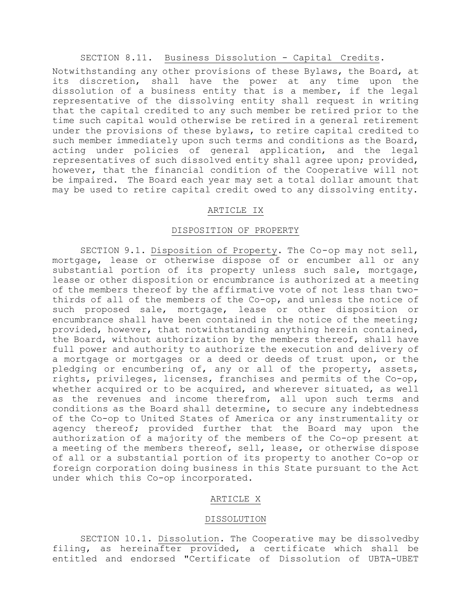# SECTION 8.11. Business Dissolution - Capital Credits.

Notwithstanding any other provisions of these Bylaws, the Board, at its discretion, shall have the power at any time upon the dissolution of a business entity that is a member, if the legal representative of the dissolving entity shall request in writing that the capital credited to any such member be retired prior to the time such capital would otherwise be retired in a general retirement under the provisions of these bylaws, to retire capital credited to such member immediately upon such terms and conditions as the Board, acting under policies of general application, and the legal representatives of such dissolved entity shall agree upon; provided, however, that the financial condition of the Cooperative will not be impaired. The Board each year may set a total dollar amount that may be used to retire capital credit owed to any dissolving entity.

### ARTICLE IX

## DISPOSITION OF PROPERTY

SECTION 9.1. Disposition of Property. The Co-op may not sell, mortgage, lease or otherwise dispose of or encumber all or any substantial portion of its property unless such sale, mortgage, lease or other disposition or encumbrance is authorized at a meeting of the members thereof by the affirmative vote of not less than twothirds of all of the members of the Co-op, and unless the notice of such proposed sale, mortgage, lease or other disposition or encumbrance shall have been contained in the notice of the meeting; provided, however, that notwithstanding anything herein contained, the Board, without authorization by the members thereof, shall have full power and authority to authorize the execution and delivery of a mortgage or mortgages or a deed or deeds of trust upon, or the pledging or encumbering of, any or all of the property, assets, rights, privileges, licenses, franchises and permits of the Co-op, whether acquired or to be acquired, and wherever situated, as well as the revenues and income therefrom, all upon such terms and conditions as the Board shall determine, to secure any indebtedness of the Co-op to United States of America or any instrumentality or agency thereof; provided further that the Board may upon the authorization of a majority of the members of the Co-op present at a meeting of the members thereof, sell, lease, or otherwise dispose of all or a substantial portion of its property to another Co-op or foreign corporation doing business in this State pursuant to the Act under which this Co-op incorporated.

### ARTICLE X

#### DISSOLUTION

SECTION 10.1. Dissolution. The Cooperative may be dissolvedby filing, as hereinafter provided, a certificate which shall be entitled and endorsed "Certificate of Dissolution of UBTA-UBET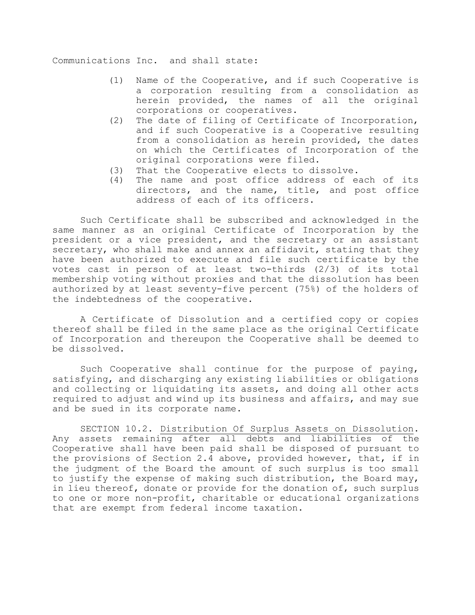Communications Inc. and shall state:

- (1) Name of the Cooperative, and if such Cooperative is a corporation resulting from a consolidation as herein provided, the names of all the original corporations or cooperatives.
- (2) The date of filing of Certificate of Incorporation, and if such Cooperative is a Cooperative resulting from a consolidation as herein provided, the dates on which the Certificates of Incorporation of the original corporations were filed.
- (3) That the Cooperative elects to dissolve.
- (4) The name and post office address of each of its directors, and the name, title, and post office address of each of its officers.

Such Certificate shall be subscribed and acknowledged in the same manner as an original Certificate of Incorporation by the president or a vice president, and the secretary or an assistant secretary, who shall make and annex an affidavit, stating that they have been authorized to execute and file such certificate by the votes cast in person of at least two-thirds (2/3) of its total membership voting without proxies and that the dissolution has been authorized by at least seventy-five percent (75%) of the holders of the indebtedness of the cooperative.

A Certificate of Dissolution and a certified copy or copies thereof shall be filed in the same place as the original Certificate of Incorporation and thereupon the Cooperative shall be deemed to be dissolved.

Such Cooperative shall continue for the purpose of paying, satisfying, and discharging any existing liabilities or obligations and collecting or liquidating its assets, and doing all other acts required to adjust and wind up its business and affairs, and may sue and be sued in its corporate name.

SECTION 10.2. Distribution Of Surplus Assets on Dissolution. Any assets remaining after all debts and liabilities of the Cooperative shall have been paid shall be disposed of pursuant to the provisions of Section 2.4 above, provided however, that, if in the judgment of the Board the amount of such surplus is too small to justify the expense of making such distribution, the Board may, in lieu thereof, donate or provide for the donation of, such surplus to one or more non-profit, charitable or educational organizations that are exempt from federal income taxation.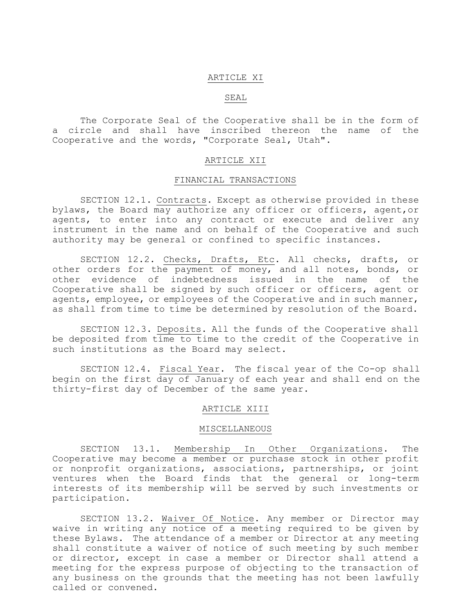#### ARTICLE XI

### SEAL

The Corporate Seal of the Cooperative shall be in the form of a circle and shall have inscribed thereon the name of the Cooperative and the words, "Corporate Seal, Utah".

#### ARTICLE XII

#### FINANCIAL TRANSACTIONS

SECTION 12.1. Contracts. Except as otherwise provided in these bylaws, the Board may authorize any officer or officers, agent,or agents, to enter into any contract or execute and deliver any instrument in the name and on behalf of the Cooperative and such authority may be general or confined to specific instances.

SECTION 12.2. Checks, Drafts, Etc. All checks, drafts, or other orders for the payment of money, and all notes, bonds, or other evidence of indebtedness issued in the name of the Cooperative shall be signed by such officer or officers, agent or agents, employee, or employees of the Cooperative and in such manner, as shall from time to time be determined by resolution of the Board.

SECTION 12.3. Deposits. All the funds of the Cooperative shall be deposited from time to time to the credit of the Cooperative in such institutions as the Board may select.

SECTION 12.4. Fiscal Year. The fiscal year of the Co-op shall begin on the first day of January of each year and shall end on the thirty-first day of December of the same year.

## ARTICLE XIII

#### MISCELLANEOUS

SECTION 13.1. Membership In Other Organizations. The Cooperative may become a member or purchase stock in other profit or nonprofit organizations, associations, partnerships, or joint ventures when the Board finds that the general or long-term interests of its membership will be served by such investments or participation.

SECTION 13.2. Waiver Of Notice. Any member or Director may waive in writing any notice of a meeting required to be given by these Bylaws. The attendance of a member or Director at any meeting shall constitute a waiver of notice of such meeting by such member or director, except in case a member or Director shall attend a meeting for the express purpose of objecting to the transaction of any business on the grounds that the meeting has not been lawfully called or convened.